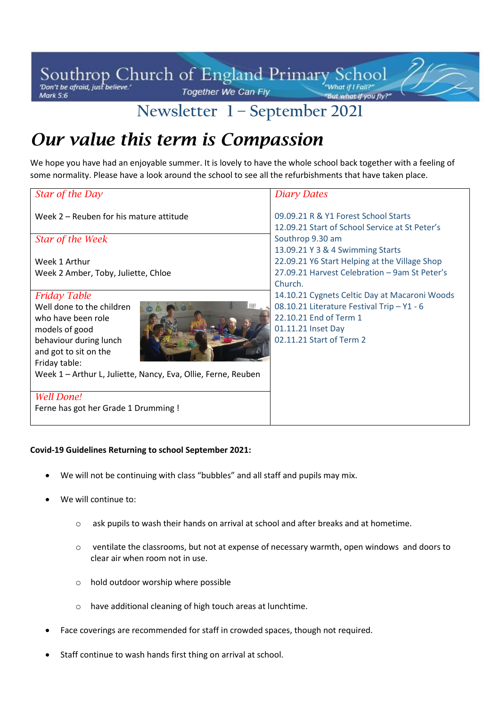#### Southrop Church of England Primary School 1 J J Together We Can Fly Mark 5:6

# **Newsletter 1 – September 2021**

# *Our value this term is Compassion*

We hope you have had an enjoyable summer. It is lovely to have the whole school back together with a feeling of some normality. Please have a look around the school to see all the refurbishments that have taken place.

| Star of the Day                                               | <b>Diary Dates</b>                                                                     |
|---------------------------------------------------------------|----------------------------------------------------------------------------------------|
| Week 2 – Reuben for his mature attitude                       | 09.09.21 R & Y1 Forest School Starts<br>12.09.21 Start of School Service at St Peter's |
| Star of the Week                                              | Southrop 9.30 am                                                                       |
|                                                               | 13.09.21 Y 3 & 4 Swimming Starts                                                       |
| Week 1 Arthur                                                 | 22.09.21 Y6 Start Helping at the Village Shop                                          |
| Week 2 Amber, Toby, Juliette, Chloe                           | 27.09.21 Harvest Celebration - 9am St Peter's                                          |
|                                                               | Church.                                                                                |
| <b>Friday Table</b>                                           | 14.10.21 Cygnets Celtic Day at Macaroni Woods                                          |
| Well done to the children<br><b>B</b>                         | 08.10.21 Literature Festival Trip - Y1 - 6                                             |
| who have been role                                            | 22.10.21 End of Term 1                                                                 |
| models of good                                                | 01.11.21 Inset Day                                                                     |
| behaviour during lunch                                        | 02.11.21 Start of Term 2                                                               |
| and got to sit on the                                         |                                                                                        |
| Friday table:                                                 |                                                                                        |
| Week 1 - Arthur L, Juliette, Nancy, Eva, Ollie, Ferne, Reuben |                                                                                        |
|                                                               |                                                                                        |
| <b>Well Done!</b>                                             |                                                                                        |
| Ferne has got her Grade 1 Drumming !                          |                                                                                        |
|                                                               |                                                                                        |

#### **Covid-19 Guidelines Returning to school September 2021:**

- We will not be continuing with class "bubbles" and all staff and pupils may mix.
- We will continue to:
	- o ask pupils to wash their hands on arrival at school and after breaks and at hometime.
	- o ventilate the classrooms, but not at expense of necessary warmth, open windows and doors to clear air when room not in use.
	- o hold outdoor worship where possible
	- o have additional cleaning of high touch areas at lunchtime.
- Face coverings are recommended for staff in crowded spaces, though not required.
- Staff continue to wash hands first thing on arrival at school.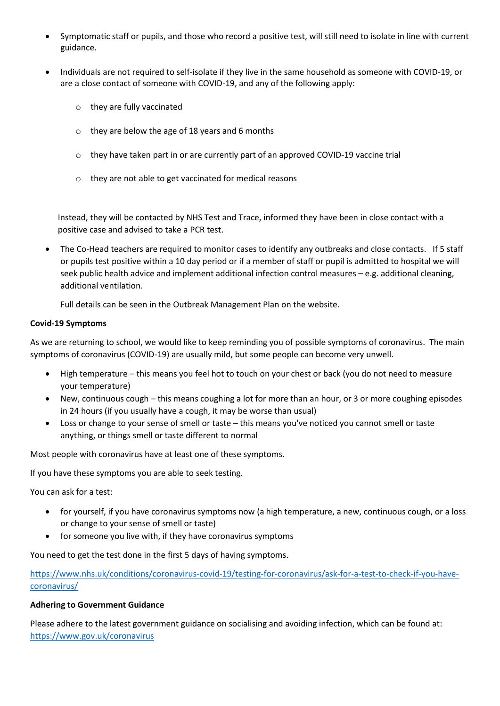- Symptomatic staff or pupils, and those who record a positive test, will still need to isolate in line with current guidance.
- Individuals are not required to self-isolate if they live in the same household as someone with COVID-19, or are a close contact of someone with COVID-19, and any of the following apply:
	- o they are fully vaccinated
	- o they are below the age of 18 years and 6 months
	- $\circ$  they have taken part in or are currently part of an approved COVID-19 vaccine trial
	- o they are not able to get vaccinated for medical reasons

Instead, they will be contacted by NHS Test and Trace, informed they have been in close contact with a positive case and advised to take a PCR [test.](https://www.gov.uk/get-coronavirus-test)

• The Co-Head teachers are required to monitor cases to identify any outbreaks and close contacts. If 5 staff or pupils test positive within a 10 day period or if a member of staff or pupil is admitted to hospital we will seek public health advice and implement additional infection control measures – e.g. additional cleaning, additional ventilation.

Full details can be seen in the Outbreak Management Plan on the website.

#### **Covid-19 Symptoms**

As we are returning to school, we would like to keep reminding you of possible symptoms of coronavirus. The main symptoms of coronavirus (COVID-19) are usually mild, but some people can become very unwell.

- High temperature this means you feel hot to touch on your chest or back (you do not need to measure your temperature)
- New, continuous cough this means coughing a lot for more than an hour, or 3 or more coughing episodes in 24 hours (if you usually have a cough, it may be worse than usual)
- Loss or change to your sense of smell or taste this means you've noticed you cannot smell or taste anything, or things smell or taste different to normal

Most people with coronavirus have at least one of these symptoms.

If you have these symptoms you are able to seek testing.

You can ask for a test:

- for yourself, if you have coronavirus symptoms now (a high temperature, a new, continuous cough, or a loss or change to your sense of smell or taste)
- for someone you live with, if they have coronavirus symptoms

You need to get the test done in the first 5 days of having symptoms.

[https://www.nhs.uk/conditions/coronavirus-covid-19/testing-for-coronavirus/ask-for-a-test-to-check-if-you-have](https://www.nhs.uk/conditions/coronavirus-covid-19/testing-for-coronavirus/ask-for-a-test-to-check-if-you-have-coronavirus/)[coronavirus/](https://www.nhs.uk/conditions/coronavirus-covid-19/testing-for-coronavirus/ask-for-a-test-to-check-if-you-have-coronavirus/)

#### **Adhering to Government Guidance**

Please adhere to the latest government guidance on socialising and avoiding infection, which can be found at: <https://www.gov.uk/coronavirus>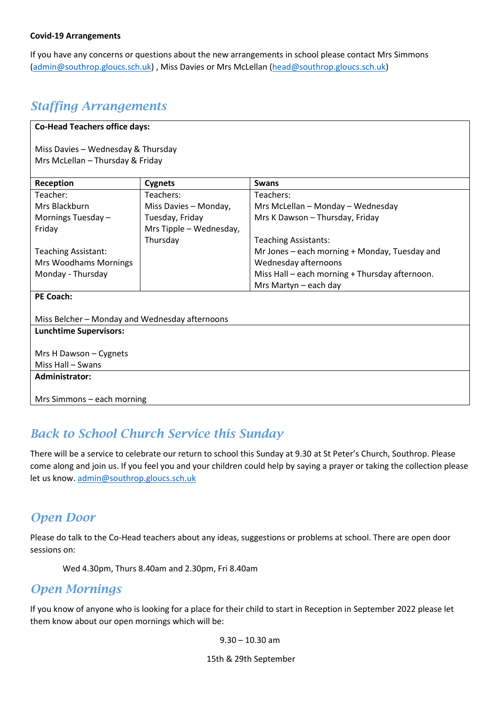#### **Covid-19 Arrangements**

If you have any concerns or questions about the new arrangements in school please contact Mrs Simmons [\(admin@southrop.gloucs.sch.uk\)](mailto:admin@southrop.gloucs.sch.uk) , Miss Davies or Mrs McLellan [\(head@southrop.gloucs.sch.uk\)](mailto:head@southrop.gloucs.sch.uk)

#### *Staffing Arrangements*

#### **Co-Head Teachers office days:**

Miss Davies – Wednesday & Thursday Mrs McLellan – Thursday & Friday

| Reception                                      | <b>Cygnets</b>          | <b>Swans</b>                                   |  |  |
|------------------------------------------------|-------------------------|------------------------------------------------|--|--|
| Teacher:                                       | Teachers:               | Teachers:                                      |  |  |
| Mrs Blackburn                                  | Miss Davies - Monday,   | Mrs McLellan - Monday - Wednesday              |  |  |
| Mornings Tuesday -                             | Tuesday, Friday         | Mrs K Dawson - Thursday, Friday                |  |  |
| Friday                                         | Mrs Tipple - Wednesday, |                                                |  |  |
|                                                | Thursday                | <b>Teaching Assistants:</b>                    |  |  |
| <b>Teaching Assistant:</b>                     |                         | Mr Jones – each morning + Monday, Tuesday and  |  |  |
| Mrs Woodhams Mornings                          |                         | Wednesday afternoons                           |  |  |
| Monday - Thursday                              |                         | Miss Hall - each morning + Thursday afternoon. |  |  |
|                                                |                         | Mrs Martyn - each day                          |  |  |
| <b>PE Coach:</b>                               |                         |                                                |  |  |
|                                                |                         |                                                |  |  |
| Miss Belcher - Monday and Wednesday afternoons |                         |                                                |  |  |
| <b>Lunchtime Supervisors:</b>                  |                         |                                                |  |  |
|                                                |                         |                                                |  |  |
| Mrs H Dawson - Cygnets                         |                         |                                                |  |  |
| Miss Hall - Swans                              |                         |                                                |  |  |
| <b>Administrator:</b>                          |                         |                                                |  |  |
|                                                |                         |                                                |  |  |
| Mrs Simmons – each morning                     |                         |                                                |  |  |

### *Back to School Church Service this Sunday*

There will be a service to celebrate our return to school this Sunday at 9.30 at St Peter's Church, Southrop. Please come along and join us. If you feel you and your children could help by saying a prayer or taking the collection please let us know[. admin@southrop.gloucs.sch.uk](mailto:admin@southrop.gloucs.sch.uk)

### *Open Door*

Please do talk to the Co-Head teachers about any ideas, suggestions or problems at school. There are open door sessions on:

Wed 4.30pm, Thurs 8.40am and 2.30pm, Fri 8.40am

#### *Open Mornings*

If you know of anyone who is looking for a place for their child to start in Reception in September 2022 please let them know about our open mornings which will be:

9.30 – 10.30 am

15th & 29th September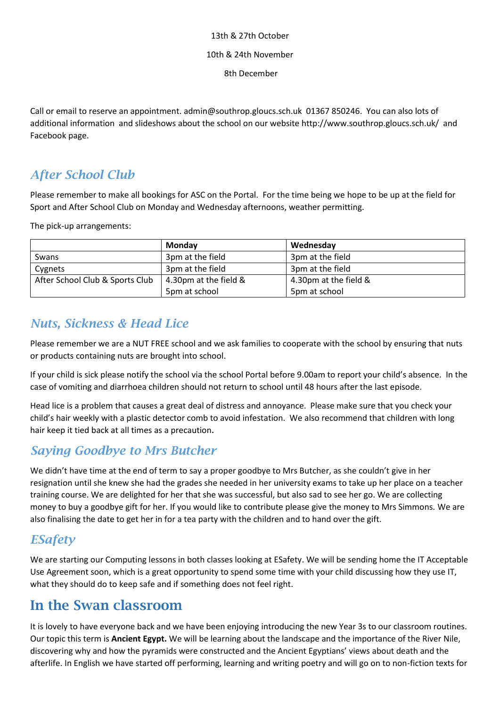### 13th & 27th October 10th & 24th November

8th December

Call or email to reserve an appointment. admin@southrop.gloucs.sch.uk 01367 850246. You can also lots of additional information and slideshows about the school on our website http://www.southrop.gloucs.sch.uk/ and Facebook page.

### *After School Club*

Please remember to make all bookings for ASC on the Portal. For the time being we hope to be up at the field for Sport and After School Club on Monday and Wednesday afternoons, weather permitting.

The pick-up arrangements:

|                                 | Monday                | Wednesday             |
|---------------------------------|-----------------------|-----------------------|
| Swans                           | 3pm at the field      | 3pm at the field      |
| Cygnets                         | 3pm at the field      | 3pm at the field      |
| After School Club & Sports Club | 4.30pm at the field & | 4.30pm at the field & |
|                                 | 5pm at school         | 5pm at school         |

### *Nuts, Sickness & Head Lice*

Please remember we are a NUT FREE school and we ask families to cooperate with the school by ensuring that nuts or products containing nuts are brought into school.

If your child is sick please notify the school via the school Portal before 9.00am to report your child's absence. In the case of vomiting and diarrhoea children should not return to school until 48 hours after the last episode.

Head lice is a problem that causes a great deal of distress and annoyance. Please make sure that you check your child's hair weekly with a plastic detector comb to avoid infestation. We also recommend that children with long hair keep it tied back at all times as a precaution.

### *Saying Goodbye to Mrs Butcher*

We didn't have time at the end of term to say a proper goodbye to Mrs Butcher, as she couldn't give in her resignation until she knew she had the grades she needed in her university exams to take up her place on a teacher training course. We are delighted for her that she was successful, but also sad to see her go. We are collecting money to buy a goodbye gift for her. If you would like to contribute please give the money to Mrs Simmons. We are also finalising the date to get her in for a tea party with the children and to hand over the gift.

### *ESafety*

We are starting our Computing lessons in both classes looking at ESafety. We will be sending home the IT Acceptable Use Agreement soon, which is a great opportunity to spend some time with your child discussing how they use IT, what they should do to keep safe and if something does not feel right.

## **In the Swan classroom**

It is lovely to have everyone back and we have been enjoying introducing the new Year 3s to our classroom routines. Our topic this term is **Ancient Egypt.** We will be learning about the landscape and the importance of the River Nile, discovering why and how the pyramids were constructed and the Ancient Egyptians' views about death and the afterlife. In English we have started off performing, learning and writing poetry and will go on to non-fiction texts for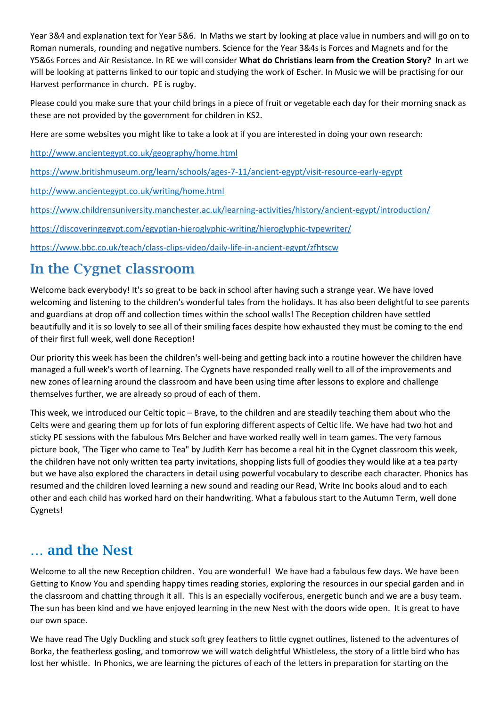Year 3&4 and explanation text for Year 5&6. In Maths we start by looking at place value in numbers and will go on to Roman numerals, rounding and negative numbers. Science for the Year 3&4s is Forces and Magnets and for the Y5&6s Forces and Air Resistance. In RE we will consider **What do Christians learn from the Creation Story?** In art we will be looking at patterns linked to our topic and studying the work of Escher. In Music we will be practising for our Harvest performance in church. PE is rugby.

Please could you make sure that your child brings in a piece of fruit or vegetable each day for their morning snack as these are not provided by the government for children in KS2.

Here are some websites you might like to take a look at if you are interested in doing your own research:

<http://www.ancientegypt.co.uk/geography/home.html>

<https://www.britishmuseum.org/learn/schools/ages-7-11/ancient-egypt/visit-resource-early-egypt>

<http://www.ancientegypt.co.uk/writing/home.html>

<https://www.childrensuniversity.manchester.ac.uk/learning-activities/history/ancient-egypt/introduction/>

<https://discoveringegypt.com/egyptian-hieroglyphic-writing/hieroglyphic-typewriter/>

<https://www.bbc.co.uk/teach/class-clips-video/daily-life-in-ancient-egypt/zfhtscw>

## **In the Cygnet classroom**

Welcome back everybody! It's so great to be back in school after having such a strange year. We have loved welcoming and listening to the children's wonderful tales from the holidays. It has also been delightful to see parents and guardians at drop off and collection times within the school walls! The Reception children have settled beautifully and it is so lovely to see all of their smiling faces despite how exhausted they must be coming to the end of their first full week, well done Reception!

Our priority this week has been the children's well-being and getting back into a routine however the children have managed a full week's worth of learning. The Cygnets have responded really well to all of the improvements and new zones of learning around the classroom and have been using time after lessons to explore and challenge themselves further, we are already so proud of each of them.

This week, we introduced our Celtic topic – Brave, to the children and are steadily teaching them about who the Celts were and gearing them up for lots of fun exploring different aspects of Celtic life. We have had two hot and sticky PE sessions with the fabulous Mrs Belcher and have worked really well in team games. The very famous picture book, 'The Tiger who came to Tea" by Judith Kerr has become a real hit in the Cygnet classroom this week, the children have not only written tea party invitations, shopping lists full of goodies they would like at a tea party but we have also explored the characters in detail using powerful vocabulary to describe each character. Phonics has resumed and the children loved learning a new sound and reading our Read, Write Inc books aloud and to each other and each child has worked hard on their handwriting. What a fabulous start to the Autumn Term, well done Cygnets!

### **… and the Nest**

Welcome to all the new Reception children. You are wonderful! We have had a fabulous few days. We have been Getting to Know You and spending happy times reading stories, exploring the resources in our special garden and in the classroom and chatting through it all. This is an especially vociferous, energetic bunch and we are a busy team. The sun has been kind and we have enjoyed learning in the new Nest with the doors wide open. It is great to have our own space.

We have read The Ugly Duckling and stuck soft grey feathers to little cygnet outlines, listened to the adventures of Borka, the featherless gosling, and tomorrow we will watch delightful Whistleless, the story of a little bird who has lost her whistle. In Phonics, we are learning the pictures of each of the letters in preparation for starting on the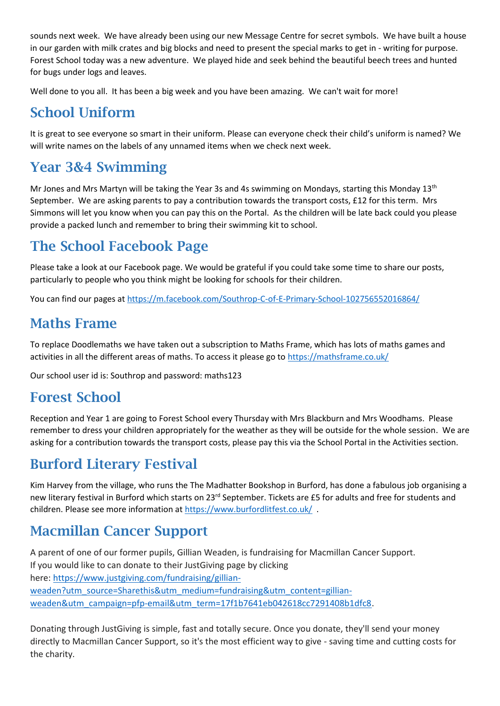sounds next week. We have already been using our new Message Centre for secret symbols. We have built a house in our garden with milk crates and big blocks and need to present the special marks to get in - writing for purpose. Forest School today was a new adventure. We played hide and seek behind the beautiful beech trees and hunted for bugs under logs and leaves.

Well done to you all. It has been a big week and you have been amazing. We can't wait for more!

## **School Uniform**

It is great to see everyone so smart in their uniform. Please can everyone check their child's uniform is named? We will write names on the labels of any unnamed items when we check next week.

## **Year 3&4 Swimming**

Mr Jones and Mrs Martyn will be taking the Year 3s and 4s swimming on Mondays, starting this Monday 13<sup>th</sup> September. We are asking parents to pay a contribution towards the transport costs, £12 for this term. Mrs Simmons will let you know when you can pay this on the Portal. As the children will be late back could you please provide a packed lunch and remember to bring their swimming kit to school.

## **The School Facebook Page**

Please take a look at our Facebook page. We would be grateful if you could take some time to share our posts, particularly to people who you think might be looking for schools for their children.

You can find our pages at<https://m.facebook.com/Southrop-C-of-E-Primary-School-102756552016864/>

## **Maths Frame**

To replace Doodlemaths we have taken out a subscription to Maths Frame, which has lots of maths games and activities in all the different areas of maths. To access it please go to<https://mathsframe.co.uk/>

Our school user id is: Southrop and password: maths123

## **Forest School**

Reception and Year 1 are going to Forest School every Thursday with Mrs Blackburn and Mrs Woodhams. Please remember to dress your children appropriately for the weather as they will be outside for the whole session. We are asking for a contribution towards the transport costs, please pay this via the School Portal in the Activities section.

## **Burford Literary Festival**

Kim Harvey from the village, who runs the The Madhatter Bookshop in Burford, has done a fabulous job organising a new literary festival in Burford which starts on 23<sup>rd</sup> September. Tickets are £5 for adults and free for students and children. Please see more information at<https://www.burfordlitfest.co.uk/> .

## **Macmillan Cancer Support**

A parent of one of our former pupils, Gillian Weaden, is fundraising for Macmillan Cancer Support. If you would like to can donate to their JustGiving page by clicking here: [https://www.justgiving.com/fundraising/gillian](https://www.justgiving.com/fundraising/gillian-weaden?utm_source=Sharethis&utm_medium=fundraising&utm_content=gillian-weaden&utm_campaign=pfp-email&utm_term=17f1b7641eb042618cc7291408b1dfc8)[weaden?utm\\_source=Sharethis&utm\\_medium=fundraising&utm\\_content=gillian](https://www.justgiving.com/fundraising/gillian-weaden?utm_source=Sharethis&utm_medium=fundraising&utm_content=gillian-weaden&utm_campaign=pfp-email&utm_term=17f1b7641eb042618cc7291408b1dfc8)[weaden&utm\\_campaign=pfp-email&utm\\_term=17f1b7641eb042618cc7291408b1dfc8.](https://www.justgiving.com/fundraising/gillian-weaden?utm_source=Sharethis&utm_medium=fundraising&utm_content=gillian-weaden&utm_campaign=pfp-email&utm_term=17f1b7641eb042618cc7291408b1dfc8)

Donating through JustGiving is simple, fast and totally secure. Once you donate, they'll send your money directly to Macmillan Cancer Support, so it's the most efficient way to give - saving time and cutting costs for the charity.